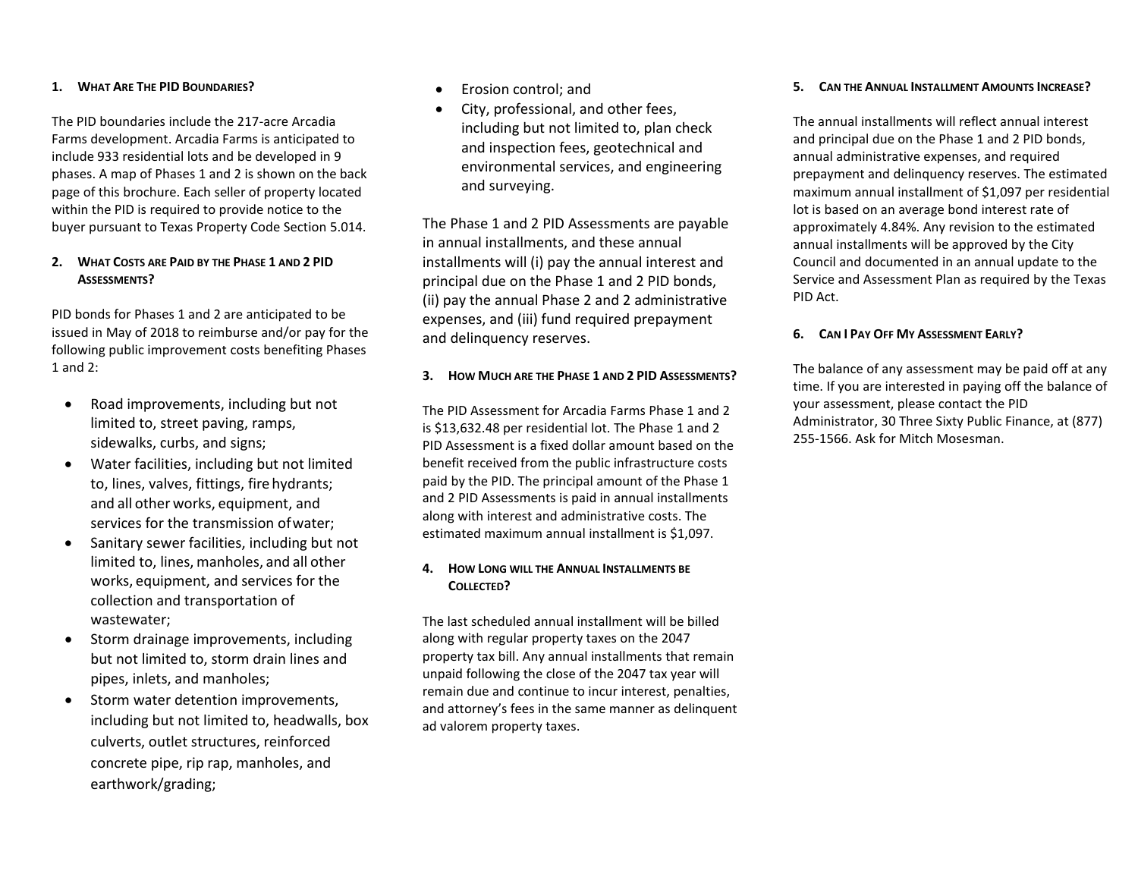### **1. WHAT ARE THE PID BOUNDARIES?**

The PID boundaries include the 217-acre Arcadia Farms development. Arcadia Farms is anticipated to include 933 residential lots and be developed in 9 phases. A map of Phases 1 and 2 is shown on the back page of this brochure. Each seller of property located within the PID is required to provide notice to the buyer pursuant to Texas Property Code Section 5.014.

# **2. WHAT COSTS ARE PAID BY THE PHASE 1 AND 2 PID ASSESSMENTS?**

PID bonds for Phases 1 and 2 are anticipated to be issued in May of 2018 to reimburse and/or pay for the following public improvement costs benefiting Phases 1 and 2:

- Road improvements, including but not limited to, street paving, ramps, sidewalks, curbs, and signs;
- Water facilities, including but not limited to, lines, valves, fittings, fire hydrants; and all other works, equipment, and services for the transmission ofwater;
- Sanitary sewer facilities, including but not limited to, lines, manholes, and all other works, equipment, and services for the collection and transportation of wastewater;
- Storm drainage improvements, including but not limited to, storm drain lines and pipes, inlets, and manholes;
- Storm water detention improvements. including but not limited to, headwalls, box culverts, outlet structures, reinforced concrete pipe, rip rap, manholes, and earthwork/grading;
- Erosion control; and
- City, professional, and other fees, including but not limited to, plan check and inspection fees, geotechnical and environmental services, and engineering and surveying.

The Phase 1 and 2 PID Assessments are payable in annual installments, and these annual installments will (i) pay the annual interest and principal due on the Phase 1 and 2 PID bonds, (ii) pay the annual Phase 2 and 2 administrative expenses, and (iii) fund required prepayment and delinquency reserves.

# **3. HOW MUCH ARE THE PHASE 1 AND 2 PID ASSESSMENTS?**

The PID Assessment for Arcadia Farms Phase 1 and 2 is \$13,632.48 per residential lot. The Phase 1 and 2 PID Assessment is a fixed dollar amount based on the benefit received from the public infrastructure costs paid by the PID. The principal amount of the Phase 1 and 2 PID Assessments is paid in annual installments along with interest and administrative costs. The estimated maximum annual installment is \$1,097.

# **4. HOW LONG WILL THE ANNUAL INSTALLMENTS BE COLLECTED?**

The last scheduled annual installment will be billed along with regular property taxes on the 2047 property tax bill. Any annual installments that remain unpaid following the close of the 2047 tax year will remain due and continue to incur interest, penalties, and attorney's fees in the same manner as delinquent ad valorem property taxes.

### **5. CAN THE ANNUAL INSTALLMENT AMOUNTS INCREASE?**

The annual installments will reflect annual interest and principal due on the Phase 1 and 2 PID bonds, annual administrative expenses, and required prepayment and delinquency reserves. The estimated maximum annual installment of \$1,097 per residential lot is based on an average bond interest rate of approximately 4.84%. Any revision to the estimated annual installments will be approved by the City Council and documented in an annual update to the Service and Assessment Plan as required by the Texas PID Act.

# **6. CAN I PAY OFF MY ASSESSMENT EARLY?**

The balance of any assessment may be paid off at any time. If you are interested in paying off the balance of your assessment, please contact the PID Administrator, 30 Three Sixty Public Finance, at (877) 255-1566. Ask for Mitch Mosesman.